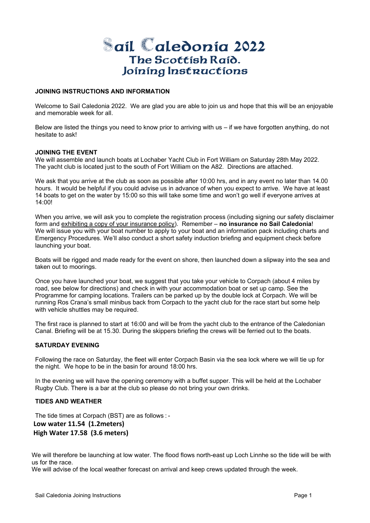# **ail aledonia 2022** The Scottish Raid. Joining Instructions

# **JOINING INSTRUCTIONS AND INFORMATION**

Welcome to Sail Caledonia 2022. We are glad you are able to join us and hope that this will be an enjoyable and memorable week for all.

Below are listed the things you need to know prior to arriving with us – if we have forgotten anything, do not hesitate to ask!

# **JOINING THE EVENT**

We will assemble and launch boats at Lochaber Yacht Club in Fort William on Saturday 28th May 2022. The yacht club is located just to the south of Fort William on the A82. Directions are attached.

We ask that you arrive at the club as soon as possible after 10:00 hrs, and in any event no later than 14.00 hours. It would be helpful if you could advise us in advance of when you expect to arrive. We have at least 14 boats to get on the water by 15:00 so this will take some time and won't go well if everyone arrives at 14:00!

When you arrive, we will ask you to complete the registration process (including signing our safety disclaimer form and exhibiting a copy of your insurance policy). Remember – **no insurance no Sail Caledonia**! We will issue you with your boat number to apply to your boat and an information pack including charts and Emergency Procedures. We'll also conduct a short safety induction briefing and equipment check before launching your boat.

Boats will be rigged and made ready for the event on shore, then launched down a slipway into the sea and taken out to moorings.

Once you have launched your boat, we suggest that you take your vehicle to Corpach (about 4 miles by road, see below for directions) and check in with your accommodation boat or set up camp. See the Programme for camping locations. Trailers can be parked up by the double lock at Corpach. We will be running Ros Crana's small minibus back from Corpach to the yacht club for the race start but some help with vehicle shuttles may be required.

The first race is planned to start at 16:00 and will be from the yacht club to the entrance of the Caledonian Canal. Briefing will be at 15.30. During the skippers briefing the crews will be ferried out to the boats.

# **SATURDAY EVENING**

Following the race on Saturday, the fleet will enter Corpach Basin via the sea lock where we will tie up for the night. We hope to be in the basin for around 18:00 hrs.

In the evening we will have the opening ceremony with a buffet supper. This will be held at the Lochaber Rugby Club. There is a bar at the club so please do not bring your own drinks.

# **TIDES AND WEATHER**

The tide times at Corpach (BST) are as follows : - **Low water 11.54 (1.2meters)** 

 **High Water 17.58 (3.6 meters)** 

We will therefore be launching at low water. The flood flows north-east up Loch Linnhe so the tide will be with us for the race.

We will advise of the local weather forecast on arrival and keep crews updated through the week.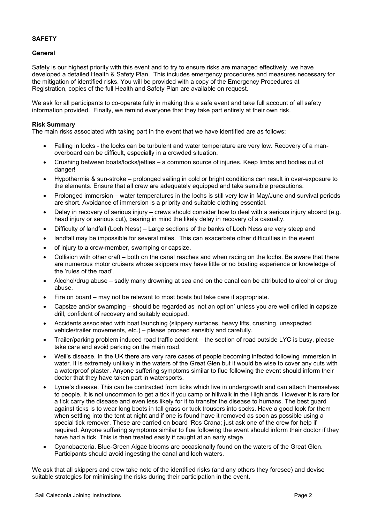# **SAFETY**

# **General**

Safety is our highest priority with this event and to try to ensure risks are managed effectively, we have developed a detailed Health & Safety Plan. This includes emergency procedures and measures necessary for the mitigation of identified risks. You will be provided with a copy of the Emergency Procedures at Registration, copies of the full Health and Safety Plan are available on request.

We ask for all participants to co-operate fully in making this a safe event and take full account of all safety information provided. Finally, we remind everyone that they take part entirely at their own risk.

# **Risk Summary**

The main risks associated with taking part in the event that we have identified are as follows:

- Falling in locks the locks can be turbulent and water temperature are very low. Recovery of a manoverboard can be difficult, especially in a crowded situation.
- Crushing between boats/locks/jetties a common source of injuries. Keep limbs and bodies out of danger!
- Hypothermia & sun-stroke prolonged sailing in cold or bright conditions can result in over-exposure to the elements. Ensure that all crew are adequately equipped and take sensible precautions.
- Prolonged immersion water temperatures in the lochs is still very low in May/June and survival periods are short. Avoidance of immersion is a priority and suitable clothing essential.
- Delay in recovery of serious injury crews should consider how to deal with a serious injury aboard (e.g. head injury or serious cut), bearing in mind the likely delay in recovery of a casualty.
- Difficulty of landfall (Loch Ness) Large sections of the banks of Loch Ness are very steep and
- landfall may be impossible for several miles. This can exacerbate other difficulties in the event
- of injury to a crew-member, swamping or capsize.
- Collision with other craft both on the canal reaches and when racing on the lochs. Be aware that there are numerous motor cruisers whose skippers may have little or no boating experience or knowledge of the 'rules of the road'.
- Alcohol/drug abuse sadly many drowning at sea and on the canal can be attributed to alcohol or drug abuse.
- Fire on board may not be relevant to most boats but take care if appropriate.
- Capsize and/or swamping should be regarded as 'not an option' unless you are well drilled in capsize drill, confident of recovery and suitably equipped.
- Accidents associated with boat launching (slippery surfaces, heavy lifts, crushing, unexpected vehicle/trailer movements, etc.) – please proceed sensibly and carefully.
- Trailer/parking problem induced road traffic accident the section of road outside LYC is busy, please take care and avoid parking on the main road.
- Weil's disease. In the UK there are very rare cases of people becoming infected following immersion in water. It is extremely unlikely in the waters of the Great Glen but it would be wise to cover any cuts with a waterproof plaster. Anyone suffering symptoms similar to flue following the event should inform their doctor that they have taken part in watersports.
- Lyme's disease. This can be contracted from ticks which live in undergrowth and can attach themselves to people. It is not uncommon to get a tick if you camp or hillwalk in the Highlands. However it is rare for a tick carry the disease and even less likely for it to transfer the disease to humans. The best guard against ticks is to wear long boots in tall grass or tuck trousers into socks. Have a good look for them when settling into the tent at night and if one is found have it removed as soon as possible using a special tick remover. These are carried on board 'Ros Crana; just ask one of the crew for help if required. Anyone suffering symptoms similar to flue following the event should inform their doctor if they have had a tick. This is then treated easily if caught at an early stage.
- Cyanobacteria. Blue-Green Algae blooms are occasionally found on the waters of the Great Glen. Participants should avoid ingesting the canal and loch waters.

We ask that all skippers and crew take note of the identified risks (and any others they foresee) and devise suitable strategies for minimising the risks during their participation in the event.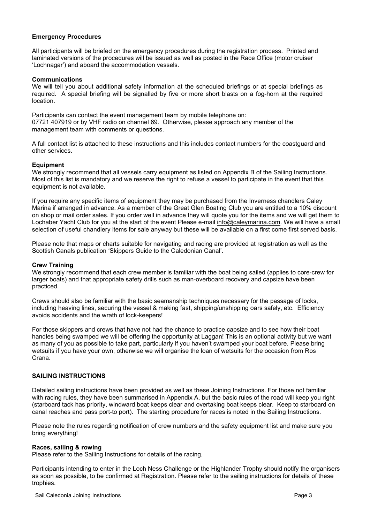# **Emergency Procedures**

All participants will be briefed on the emergency procedures during the registration process. Printed and laminated versions of the procedures will be issued as well as posted in the Race Office (motor cruiser 'Lochnagar') and aboard the accommodation vessels.

# **Communications**

We will tell you about additional safety information at the scheduled briefings or at special briefings as required. A special briefing will be signalled by five or more short blasts on a fog-horn at the required location.

Participants can contact the event management team by mobile telephone on: 07721 407919 or by VHF radio on channel 69. Otherwise, please approach any member of the management team with comments or questions.

A full contact list is attached to these instructions and this includes contact numbers for the coastguard and other services.

# **Equipment**

We strongly recommend that all vessels carry equipment as listed on Appendix B of the Sailing Instructions. Most of this list is mandatory and we reserve the right to refuse a vessel to participate in the event that this equipment is not available.

If you require any specific items of equipment they may be purchased from the Inverness chandlers Caley Marina if arranged in advance. As a member of the Great Glen Boating Club you are entitled to a 10% discount on shop or mail order sales. If you order well in advance they will quote you for the items and we will get them to Lochaber Yacht Club for you at the start of the event Please e-mail info@caleymarina.com. We will have a small selection of useful chandlery items for sale anyway but these will be available on a first come first served basis.

Please note that maps or charts suitable for navigating and racing are provided at registration as well as the Scottish Canals publication 'Skippers Guide to the Caledonian Canal'.

# **Crew Training**

We strongly recommend that each crew member is familiar with the boat being sailed (applies to core-crew for larger boats) and that appropriate safety drills such as man-overboard recovery and capsize have been practiced.

Crews should also be familiar with the basic seamanship techniques necessary for the passage of locks, including heaving lines, securing the vessel & making fast, shipping/unshipping oars safely, etc. Efficiency avoids accidents and the wrath of lock-keepers!

For those skippers and crews that have not had the chance to practice capsize and to see how their boat handles being swamped we will be offering the opportunity at Laggan! This is an optional activity but we want as many of you as possible to take part, particularly if you haven't swamped your boat before. Please bring wetsuits if you have your own, otherwise we will organise the loan of wetsuits for the occasion from Ros Crana.

# **SAILING INSTRUCTIONS**

Detailed sailing instructions have been provided as well as these Joining Instructions. For those not familiar with racing rules, they have been summarised in Appendix A, but the basic rules of the road will keep you right (starboard tack has priority, windward boat keeps clear and overtaking boat keeps clear. Keep to starboard on canal reaches and pass port-to port). The starting procedure for races is noted in the Sailing Instructions.

Please note the rules regarding notification of crew numbers and the safety equipment list and make sure you bring everything!

# **Races, sailing & rowing**

Please refer to the Sailing Instructions for details of the racing.

Participants intending to enter in the Loch Ness Challenge or the Highlander Trophy should notify the organisers as soon as possible, to be confirmed at Registration. Please refer to the sailing instructions for details of these trophies.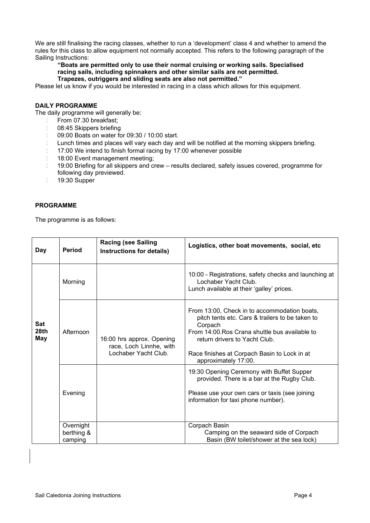We are still finalising the racing classes, whether to run a 'development' class 4 and whether to amend the rules for this class to allow equipment not normally accepted. This refers to the following paragraph of the Sailing Instructions:

**"Boats are permitted only to use their normal cruising or working sails. Specialised racing sails, including spinnakers and other similar sails are not permitted. Trapezes, outriggers and sliding seats are also not permitted."**

Please let us know if you would be interested in racing in a class which allows for this equipment.

# **DAILY PROGRAMME**

The daily programme will generally be:

- From 07.30 breakfast;
- 08:45 Skippers briefing
- 09:00 Boats on water for 09:30 / 10:00 start.
- **Lunch times and places will vary each day and will be notified at the morning skippers briefing.**
- 17:00 We intend to finish formal racing by 17:00 whenever possible
- 18:00 Event management meeting;
- 19:00 Briefing for all skippers and crew results declared, safety issues covered, programme for following day previewed.
- 19:30 Supper

# **PROGRAMME**

The programme is as follows:

| Day                              | Period                             | <b>Racing (see Sailing</b><br>Instructions for details)                      | Logistics, other boat movements, social, etc                                                                                                                                                                                                                          |
|----------------------------------|------------------------------------|------------------------------------------------------------------------------|-----------------------------------------------------------------------------------------------------------------------------------------------------------------------------------------------------------------------------------------------------------------------|
|                                  | Morning                            |                                                                              | 10:00 - Registrations, safety checks and launching at<br>Lochaber Yacht Club.<br>Lunch available at their 'galley' prices.                                                                                                                                            |
| <b>Sat</b><br>28th<br><b>May</b> | Afternoon                          | 16:00 hrs approx. Opening<br>race, Loch Linnhe, with<br>Lochaber Yacht Club. | From 13:00, Check in to accommodation boats,<br>pitch tents etc. Cars & trailers to be taken to<br>Corpach<br>From 14:00. Ros Crana shuttle bus available to<br>return drivers to Yacht Club.<br>Race finishes at Corpach Basin to Lock in at<br>approximately 17:00. |
|                                  | Evening                            |                                                                              | 19:30 Opening Ceremony with Buffet Supper<br>provided. There is a bar at the Rugby Club.<br>Please use your own cars or taxis (see joining<br>information for taxi phone number).                                                                                     |
|                                  | Overnight<br>berthing &<br>camping |                                                                              | Corpach Basin<br>Camping on the seaward side of Corpach<br>Basin (BW toilet/shower at the sea lock)                                                                                                                                                                   |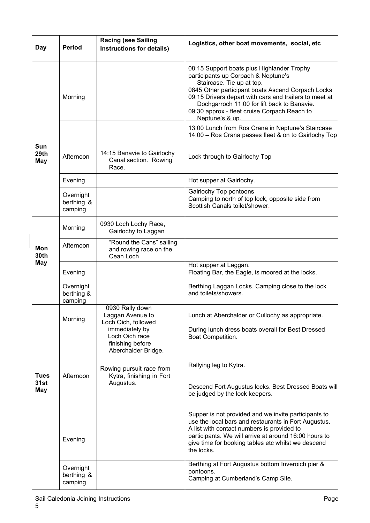| Day                              | <b>Period</b>                      | <b>Racing (see Sailing</b><br>Instructions for details)                                                                                   | Logistics, other boat movements, social, etc                                                                                                                                                                                                                                                                                                    |
|----------------------------------|------------------------------------|-------------------------------------------------------------------------------------------------------------------------------------------|-------------------------------------------------------------------------------------------------------------------------------------------------------------------------------------------------------------------------------------------------------------------------------------------------------------------------------------------------|
|                                  | Morning                            |                                                                                                                                           | 08:15 Support boats plus Highlander Trophy<br>participants up Corpach & Neptune's<br>Staircase. Tie up at top.<br>0845 Other participant boats Ascend Corpach Locks<br>09:15 Drivers depart with cars and trailers to meet at<br>Dochgarroch 11:00 for lift back to Banavie.<br>09:30 approx - fleet cruise Corpach Reach to<br>Neptune's & up. |
|                                  |                                    |                                                                                                                                           | 13:00 Lunch from Ros Crana in Neptune's Staircase<br>14:00 - Ros Crana passes fleet & on to Gairlochy Top                                                                                                                                                                                                                                       |
| <b>Sun</b><br>29th<br><b>May</b> | Afternoon                          | 14:15 Banavie to Gairlochy<br>Canal section. Rowing<br>Race.                                                                              | Lock through to Gairlochy Top                                                                                                                                                                                                                                                                                                                   |
|                                  | Evening                            |                                                                                                                                           | Hot supper at Gairlochy.                                                                                                                                                                                                                                                                                                                        |
|                                  | Overnight<br>berthing &<br>camping |                                                                                                                                           | Gairlochy Top pontoons<br>Camping to north of top lock, opposite side from<br>Scottish Canals toilet/shower.                                                                                                                                                                                                                                    |
|                                  | Morning                            | 0930 Loch Lochy Race,<br>Gairlochy to Laggan                                                                                              |                                                                                                                                                                                                                                                                                                                                                 |
| Mon<br>30th                      | Afternoon                          | "Round the Cans" sailing<br>and rowing race on the<br>Cean Loch                                                                           |                                                                                                                                                                                                                                                                                                                                                 |
| <b>May</b>                       | Evening                            |                                                                                                                                           | Hot supper at Laggan.<br>Floating Bar, the Eagle, is moored at the locks.                                                                                                                                                                                                                                                                       |
|                                  | Overnight<br>berthing &<br>camping |                                                                                                                                           | Berthing Laggan Locks. Camping close to the lock<br>and toilets/showers.                                                                                                                                                                                                                                                                        |
|                                  | Morning                            | 0930 Rally down<br>Laggan Avenue to<br>Loch Oich, followed<br>immediately by<br>Loch Oich race<br>finishing before<br>Aberchalder Bridge. | Lunch at Aberchalder or Cullochy as appropriate.<br>During lunch dress boats overall for Best Dressed<br>Boat Competition.                                                                                                                                                                                                                      |
| <b>Tues</b><br>31st<br>May       | Afternoon                          | Rowing pursuit race from<br>Kytra, finishing in Fort<br>Augustus.                                                                         | Rallying leg to Kytra.<br>Descend Fort Augustus locks. Best Dressed Boats will<br>be judged by the lock keepers.                                                                                                                                                                                                                                |
|                                  | Evening                            |                                                                                                                                           | Supper is not provided and we invite participants to<br>use the local bars and restaurants in Fort Augustus.<br>A list with contact numbers is provided to<br>participants. We will arrive at around 16:00 hours to<br>give time for booking tables etc whilst we descend<br>the locks.                                                         |
|                                  | Overnight<br>berthing &<br>camping |                                                                                                                                           | Berthing at Fort Augustus bottom Inveroich pier &<br>pontoons.<br>Camping at Cumberland's Camp Site.                                                                                                                                                                                                                                            |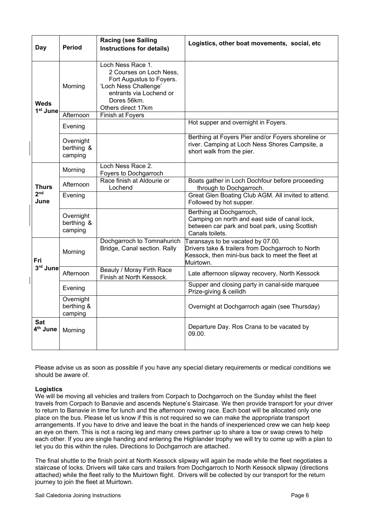| Day                                 | <b>Period</b>                      | <b>Racing (see Sailing</b><br>Instructions for details)                                                                                                           | Logistics, other boat movements, social, etc                                                                                                            |
|-------------------------------------|------------------------------------|-------------------------------------------------------------------------------------------------------------------------------------------------------------------|---------------------------------------------------------------------------------------------------------------------------------------------------------|
| <b>Weds</b><br>1 <sup>st</sup> June | Morning                            | Loch Ness Race 1.<br>2 Courses on Loch Ness,<br>Fort Augustus to Foyers.<br>'Loch Ness Challenge'<br>entrants via Lochend or<br>Dores 56km.<br>Others direct 17km |                                                                                                                                                         |
|                                     | Afternoon                          | Finish at Foyers                                                                                                                                                  |                                                                                                                                                         |
|                                     | Evening                            |                                                                                                                                                                   | Hot supper and overnight in Foyers.                                                                                                                     |
|                                     | Overnight<br>berthing &<br>camping |                                                                                                                                                                   | Berthing at Foyers Pier and/or Foyers shoreline or<br>river. Camping at Loch Ness Shores Campsite, a<br>short walk from the pier.                       |
|                                     | Morning                            | Loch Ness Race 2.<br>Foyers to Dochgarroch                                                                                                                        |                                                                                                                                                         |
| <b>Thurs</b>                        | Afternoon                          | Race finish at Aldourie or<br>Lochend                                                                                                                             | Boats gather in Loch Dochfour before proceeding<br>through to Dochgarroch.                                                                              |
| 2 <sub>nd</sub><br>June             | Evening                            |                                                                                                                                                                   | Great Glen Boating Club AGM. All invited to attend.<br>Followed by hot supper.                                                                          |
|                                     | Overnight<br>berthing &<br>camping |                                                                                                                                                                   | Berthing at Dochgarroch,<br>Camping on north and east side of canal lock,<br>between car park and boat park, using Scottish<br>Canals toilets.          |
| Fri                                 | Morning                            | Dochgarroch to Tomnahurich<br>Bridge, Canal section. Rally                                                                                                        | Taransays to be vacated by 07.00.<br>Drivers take & trailers from Dochgarroch to North<br>Kessock, then mini-bus back to meet the fleet at<br>Muirtown. |
| 3rd June                            | Afternoon                          | Beauly / Moray Firth Race<br>Finish at North Kessock.                                                                                                             | Late afternoon slipway recovery, North Kessock                                                                                                          |
|                                     | Evening                            |                                                                                                                                                                   | Supper and closing party in canal-side marquee<br>Prize-giving & ceilidh                                                                                |
|                                     | Overnight<br>berthing &<br>camping |                                                                                                                                                                   | Overnight at Dochgarroch again (see Thursday)                                                                                                           |
| <b>Sat</b><br>4 <sup>th</sup> June  | Morning                            |                                                                                                                                                                   | Departure Day. Ros Crana to be vacated by<br>09.00.                                                                                                     |

Please advise us as soon as possible if you have any special dietary requirements or medical conditions we should be aware of.

# **Logistics**

We will be moving all vehicles and trailers from Corpach to Dochgarroch on the Sunday whilst the fleet travels from Corpach to Banavie and ascends Neptune's Staircase. We then provide transport for your driver to return to Banavie in time for lunch and the afternoon rowing race. Each boat will be allocated only one place on the bus. Please let us know if this is not required so we can make the appropriate transport arrangements. If you have to drive and leave the boat in the hands of inexperienced crew we can help keep an eye on them. This is not a racing leg and many crews partner up to share a tow or swap crews to help each other. If you are single handing and entering the Highlander trophy we will try to come up with a plan to let you do this within the rules. Directions to Dochgarroch are attached.

The final shuttle to the finish point at North Kessock slipway will again be made while the fleet negotiates a staircase of locks. Drivers will take cars and trailers from Dochgarroch to North Kessock slipway (directions attached) while the fleet rally to the Muirtown flight. Drivers will be collected by our transport for the return journey to join the fleet at Muirtown.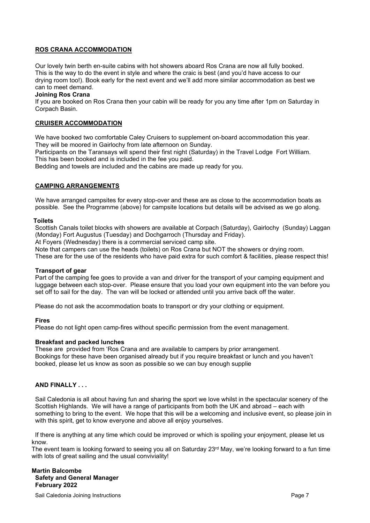# **ROS CRANA ACCOMMODATION**

Our lovely twin berth en-suite cabins with hot showers aboard Ros Crana are now all fully booked. This is the way to do the event in style and where the craic is best (and you'd have access to our drying room too!). Book early for the next event and we'll add more similar accommodation as best we can to meet demand.

# **Joining Ros Crana**

If you are booked on Ros Crana then your cabin will be ready for you any time after 1pm on Saturday in Corpach Basin.

# **CRUISER ACCOMMODATION**

We have booked two comfortable Caley Cruisers to supplement on-board accommodation this year. They will be moored in Gairlochy from late afternoon on Sunday.

Participants on the Taransays will spend their first night (Saturday) in the Travel Lodge Fort William. This has been booked and is included in the fee you paid.

Bedding and towels are included and the cabins are made up ready for you.

# **CAMPING ARRANGEMENTS**

We have arranged campsites for every stop-over and these are as close to the accommodation boats as possible. See the Programme (above) for campsite locations but details will be advised as we go along.

### **Toilets**

Scottish Canals toilet blocks with showers are available at Corpach (Saturday), Gairlochy (Sunday) Laggan (Monday) Fort Augustus (Tuesday) and Dochgarroch (Thursday and Friday).

At Foyers (Wednesday) there is a commercial serviced camp site.

Note that campers can use the heads (toilets) on Ros Crana but NOT the showers or drying room. These are for the use of the residents who have paid extra for such comfort & facilities, please respect this!

# **Transport of gear**

Part of the camping fee goes to provide a van and driver for the transport of your camping equipment and luggage between each stop-over. Please ensure that you load your own equipment into the van before you set off to sail for the day. The van will be locked or attended until you arrive back off the water.

Please do not ask the accommodation boats to transport or dry your clothing or equipment.

# **Fires**

Please do not light open camp-fires without specific permission from the event management.

# **Breakfast and packed lunches**

These are provided from 'Ros Crana and are available to campers by prior arrangement. Bookings for these have been organised already but if you require breakfast or lunch and you haven't booked, please let us know as soon as possible so we can buy enough supplie

# **AND FINALLY . . .**

Sail Caledonia is all about having fun and sharing the sport we love whilst in the spectacular scenery of the Scottish Highlands. We will have a range of participants from both the UK and abroad – each with something to bring to the event. We hope that this will be a welcoming and inclusive event, so please join in with this spirit, get to know everyone and above all enjoy yourselves.

 If there is anything at any time which could be improved or which is spoiling your enjoyment, please let us know.

The event team is looking forward to seeing you all on Saturday 23<sup>rd</sup> May, we're looking forward to a fun time with lots of great sailing and the usual conviviality!

# **Martin Balcombe Safety and General Manager February 2022**

Sail Caledonia Joining Instructions **Page 7** and the state of the state of the state Page 7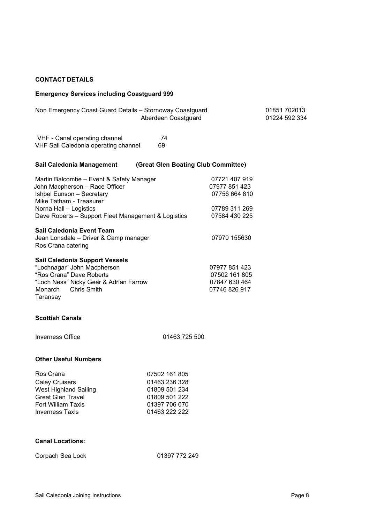# **CONTACT DETAILS**

# **Emergency Services including Coastguard 999**

| Non Emergency Coast Guard Details - Stornoway Coastguard                                                                                                                                                            | Aberdeen Coastguard                                                                                |                                                                                   | 01851 702013<br>01224 592 334 |
|---------------------------------------------------------------------------------------------------------------------------------------------------------------------------------------------------------------------|----------------------------------------------------------------------------------------------------|-----------------------------------------------------------------------------------|-------------------------------|
| VHF - Canal operating channel<br>VHF Sail Caledonia operating channel                                                                                                                                               | 74<br>69                                                                                           |                                                                                   |                               |
| Sail Caledonia Management                                                                                                                                                                                           | (Great Glen Boating Club Committee)                                                                |                                                                                   |                               |
| Martin Balcombe - Event & Safety Manager<br>John Macpherson - Race Officer<br>Ishbel Eunson - Secretary<br>Mike Tatham - Treasurer<br>Norna Hall - Logistics<br>Dave Roberts - Support Fleet Management & Logistics |                                                                                                    | 07721 407 919<br>07977 851 423<br>07756 664 810<br>07789 311 269<br>07584 430 225 |                               |
| Sail Caledonia Event Team<br>Jean Lonsdale - Driver & Camp manager<br>Ros Crana catering                                                                                                                            |                                                                                                    | 07970 155630                                                                      |                               |
| Sail Caledonia Support Vessels<br>"Lochnagar" John Macpherson<br>"Ros Crana" Dave Roberts<br>"Loch Ness" Nicky Gear & Adrian Farrow<br><b>Chris Smith</b><br>Monarch<br>Taransay                                    |                                                                                                    | 07977 851 423<br>07502 161 805<br>07847 630 464<br>07746 826 917                  |                               |
| <b>Scottish Canals</b>                                                                                                                                                                                              |                                                                                                    |                                                                                   |                               |
| <b>Inverness Office</b>                                                                                                                                                                                             | 01463 725 500                                                                                      |                                                                                   |                               |
| <b>Other Useful Numbers</b>                                                                                                                                                                                         |                                                                                                    |                                                                                   |                               |
| Ros Crana<br><b>Caley Cruisers</b><br>West Highland Sailing<br><b>Great Glen Travel</b><br>Fort William Taxis<br>Inverness Taxis                                                                                    | 07502 161 805<br>01463 236 328<br>01809 501 234<br>01809 501 222<br>01397 706 070<br>01463 222 222 |                                                                                   |                               |

# **Canal Locations:**

| Corpach Sea Lock | 01397 772 249 |
|------------------|---------------|
|                  |               |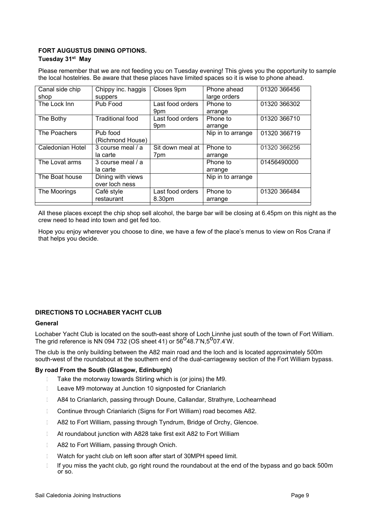# **FORT AUGUSTUS DINING OPTIONS.**

# **Tuesday 31st May**

Please remember that we are not feeding you on Tuesday evening! This gives you the opportunity to sample the local hostelries. Be aware that these places have limited spaces so it is wise to phone ahead.

| Canal side chip  | Chippy inc. haggis      | Closes 9pm       | Phone ahead       | 01320 366456 |
|------------------|-------------------------|------------------|-------------------|--------------|
| shop             | suppers                 |                  | large orders      |              |
| The Lock Inn     | Pub Food                | Last food orders | Phone to          | 01320 366302 |
|                  |                         | 9pm              | arrange           |              |
| The Bothy        | <b>Traditional food</b> | Last food orders | Phone to          | 01320 366710 |
|                  |                         | 9pm              | arrange           |              |
| The Poachers     | Pub food                |                  | Nip in to arrange | 01320 366719 |
|                  | (Richmond House)        |                  |                   |              |
| Caledonian Hotel | 3 course meal / a       | Sit down meal at | Phone to          | 01320 366256 |
|                  | la carte                | 7pm              | arrange           |              |
| The Lovat arms   | 3 course meal / a       |                  | Phone to          | 01456490000  |
|                  | la carte                |                  | arrange           |              |
| The Boat house   | Dining with views       |                  | Nip in to arrange |              |
|                  | over loch ness          |                  |                   |              |
| The Moorings     | Café style              | Last food orders | Phone to          | 01320 366484 |
|                  | restaurant              | 8.30pm           | arrange           |              |
|                  |                         |                  |                   |              |

All these places except the chip shop sell alcohol, the barge bar will be closing at 6.45pm on this night as the crew need to head into town and get fed too.

Hope you enjoy wherever you choose to dine, we have a few of the place's menus to view on Ros Crana if that helps you decide.

# **DIRECTIONS TO LOCHABER YACHT CLUB**

# **General**

Lochaber Yacht Club is located on the south-east shore of Loch Linnhe just south of the town of Fort William. The grid reference is NN 094 732 (OS sheet 41) or  $56^{\circ}48.7^{\prime}N,5^{\circ}07.4^{\prime}W$ .

The club is the only building between the A82 main road and the loch and is located approximately 500m south-west of the roundabout at the southern end of the dual-carriageway section of the Fort William bypass.

# **By road From the South (Glasgow, Edinburgh)**

- **Take the motorway towards Stirling which is (or joins) the M9.**
- **Leave M9 motorway at Junction 10 signposted for Crianlarich**
- A84 to Crianlarich, passing through Doune, Callandar, Strathyre, Lochearnhead
- **Continue through Crianlarich (Signs for Fort William) road becomes A82.**
- D A82 to Fort William, passing through Tyndrum, Bridge of Orchy, Glencoe.
- **E** At roundabout junction with A828 take first exit A82 to Fort William
- D A82 to Fort William, passing through Onich.
- **I** Watch for vacht club on left soon after start of 30MPH speed limit.
- If you miss the yacht club, go right round the roundabout at the end of the bypass and go back 500m or so.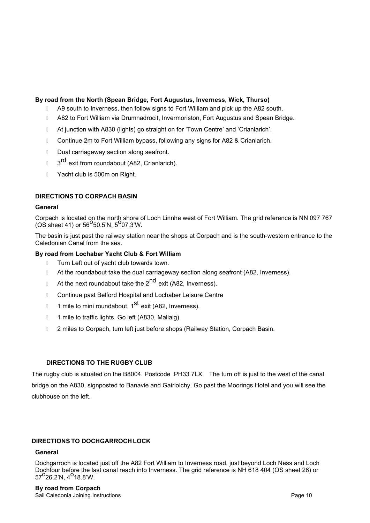# **By road from the North (Spean Bridge, Fort Augustus, Inverness, Wick, Thurso)**

- A9 south to Inverness, then follow signs to Fort William and pick up the A82 south.
- A82 to Fort William via Drumnadrocit, Invermoriston, Fort Augustus and Spean Bridge.
- At junction with A830 (lights) go straight on for 'Town Centre' and 'Crianlarich'.
- **Continue 2m to Fort William bypass, following any signs for A82 & Crianlarich.**
- Dual carriageway section along seafront.
- □ 3<sup>rd</sup> exit from roundabout (A82, Crianlarich).
- **T** Yacht club is 500m on Right.

# **DIRECTIONS TO CORPACH BASIN**

# **General**

Corpach is located on the north shore of Loch Linnhe west of Fort William. The grid reference is NN 097 767  $\frac{360}{100}$  sheet 41) or 56<sup>o</sup>50.5'N, 5<sup>o</sup>07.3'W.

The basin is just past the railway station near the shops at Corpach and is the south-western entrance to the Caledonian Canal from the sea.

# **By road from Lochaber Yacht Club & Fort William**

- **Turn Left out of yacht club towards town.**
- At the roundabout take the dual carriageway section along seafront (A82, Inverness).
- $\Box$  At the next roundabout take the 2<sup>nd</sup> exit (A82, Inverness).
- Continue past Belford Hospital and Lochaber Leisure Centre
- $\Box$  1 mile to mini roundabout, 1<sup>st</sup> exit (A82, Inverness).
- 1 mile to traffic lights. Go left (A830, Mallaig)
- 1 2 miles to Corpach, turn left just before shops (Railway Station, Corpach Basin.

# **DIRECTIONS TO THE RUGBY CLUB**

The rugby club is situated on the B8004. Postcode PH33 7LX. The turn off is just to the west of the canal bridge on the A830, signposted to Banavie and Gairlolchy. Go past the Moorings Hotel and you will see the clubhouse on the left.

# **DIRECTIONS TO DOCHGARROCH LOCK**

# **General**

Dochgarroch is located just off the A82 Fort William to Inverness road. just beyond Loch Ness and Loch Dochfour before the last canal reach into Inverness. The grid reference is NH 618 404 (OS sheet 26) or<br>57<sup>O</sup>26.2'N, 4<sup>O</sup>18.8'W.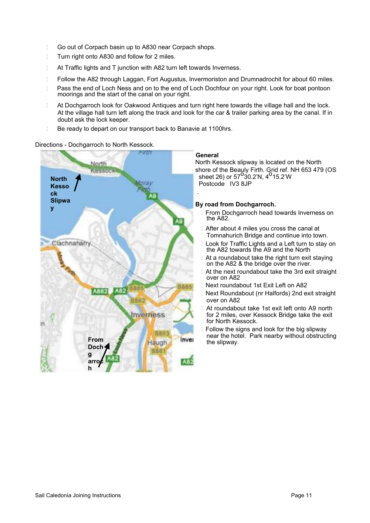- **Go out of Corpach basin up to A830 near Corpach shops.**
- **Turn right onto A830 and follow for 2 miles.**
- **EXTER 15 IN At Traffic lights and T junction with A82 turn left towards Inverness.**
- **Follow the A82 through Laggan, Fort Augustus, Invermoriston and Drumnadrochit for about 60 miles.**
- D Pass the end of Loch Ness and on to the end of Loch Dochfour on your right. Look for boat pontoon moorings and the start of the canal on your right.
- D At Dochgarroch look for Oakwood Antiques and turn right here towards the village hall and the lock. At the village hall turn left along the track and look for the car & trailer parking area by the canal. If in doubt ask the lock keeper.
- Be ready to depart on our transport back to Banavie at 1100hrs.

Directions - Dochgarroch to North Kessock.



### **General**

North Kessock slipway is located on the North shore of the Beauly Firth. Grid ref. NH 653 479 (OS sheet 26) or  $57^{\circ}30.2^{\prime}N$ ,  $4^{\circ}15.2^{\prime}W$ Postcode IV3 8JP

# **By road from Dochgarroch.**

- From Dochgarroch head towards Inverness on the A82.
- **After about 4 miles you cross the canal at** Tomnahurich Bridge and continue into town.
- **Look for Traffic Lights and a Left turn to stay on** the A82 towards the A9 and the North
- At a roundabout take the right turn exit staying on the A82 & the bridge over the river.
- At the next roundabout take the 3rd exit straight over on A82
- Next roundabout 1st Exit Left on A82
- Next Roundabout (nr Halfords) 2nd exit straight over on A82
- At roundabout take 1st exit left onto A9 north for 2 miles, over Kessock Bridge take the exit for North Kessock.
- Follow the signs and look for the big slipway near the hotel. Park nearby without obstructing the slipway.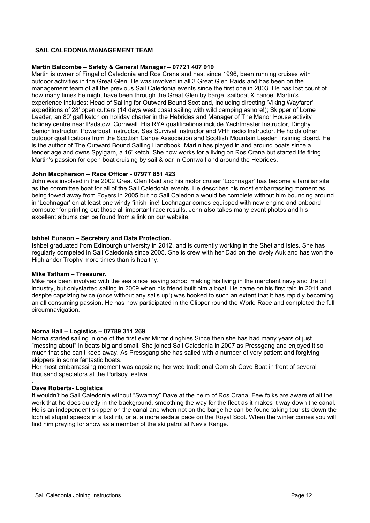# **SAIL CALEDONIA MANAGEMENT TEAM**

# **Martin Balcombe – Safety & General Manager – 07721 407 919**

Martin is owner of Fingal of Caledonia and Ros Crana and has, since 1996, been running cruises with outdoor activities in the Great Glen. He was involved in all 3 Great Glen Raids and has been on the management team of all the previous Sail Caledonia events since the first one in 2003. He has lost count of how many times he might have been through the Great Glen by barge, sailboat & canoe. Martin's experience includes: Head of Sailing for Outward Bound Scotland, including directing 'Viking Wayfarer' expeditions of 28' open cutters (14 days west coast sailing with wild camping ashore!); Skipper of Lorne Leader, an 80' gaff ketch on holiday charter in the Hebrides and Manager of The Manor House activity holiday centre near Padstow, Cornwall. His RYA qualifications include Yachtmaster Instructor, Dinghy Senior Instructor, Powerboat Instructor, Sea Survival Instructor and VHF radio Instructor. He holds other outdoor qualifications from the Scottish Canoe Association and Scottish Mountain Leader Training Board. He is the author of The Outward Bound Sailing Handbook. Martin has played in and around boats since a tender age and owns Spylgarn, a 16' ketch. She now works for a living on Ros Crana but started life firing Martin's passion for open boat cruising by sail & oar in Cornwall and around the Hebrides.

# **John Macpherson – Race Officer - 07977 851 423**

John was involved in the 2002 Great Glen Raid and his motor cruiser 'Lochnagar' has become a familiar site as the committee boat for all of the Sail Caledonia events. He describes his most embarrassing moment as being towed away from Foyers in 2005 but no Sail Caledonia would be complete without him bouncing around in 'Lochnagar' on at least one windy finish line! Lochnagar comes equipped with new engine and onboard computer for printing out those all important race results. John also takes many event photos and his excellent albums can be found from a link on our website.

# **Ishbel Eunson – Secretary and Data Protection.**

Ishbel graduated from Edinburgh university in 2012, and is currently working in the Shetland Isles. She has regularly competed in Sail Caledonia since 2005. She is crew with her Dad on the lovely Auk and has won the Highlander Trophy more times than is healthy.

# **Mike Tatham – Treasurer.**

Mike has been involved with the sea since leaving school making his living in the merchant navy and the oil industry, but onlystarted sailing in 2009 when his friend built him a boat. He came on his first raid in 2011 and, despite capsizing twice (once without any sails up!) was hooked to such an extent that it has rapidly becoming an all consuming passion. He has now participated in the Clipper round the World Race and completed the full circumnavigation.

# **Norna Hall – Logistics – 07789 311 269**

Norna started sailing in one of the first ever Mirror dinghies Since then she has had many years of just "messing about" in boats big and small. She joined Sail Caledonia in 2007 as Pressgang and enjoyed it so much that she can't keep away. As Pressgang she has sailed with a number of very patient and forgiving skippers in some fantastic boats.

Her most embarrassing moment was capsizing her wee traditional Cornish Cove Boat in front of several thousand spectators at the Portsoy festival.

# **Dave Roberts- Logistics**

.

It wouldn't be Sail Caledonia without "Swampy" Dave at the helm of Ros Crana. Few folks are aware of all the work that he does quietly in the background, smoothing the way for the fleet as it makes it way down the canal. He is an independent skipper on the canal and when not on the barge he can be found taking tourists down the loch at stupid speeds in a fast rib, or at a more sedate pace on the Royal Scot. When the winter comes you will find him praying for snow as a member of the ski patrol at Nevis Range.